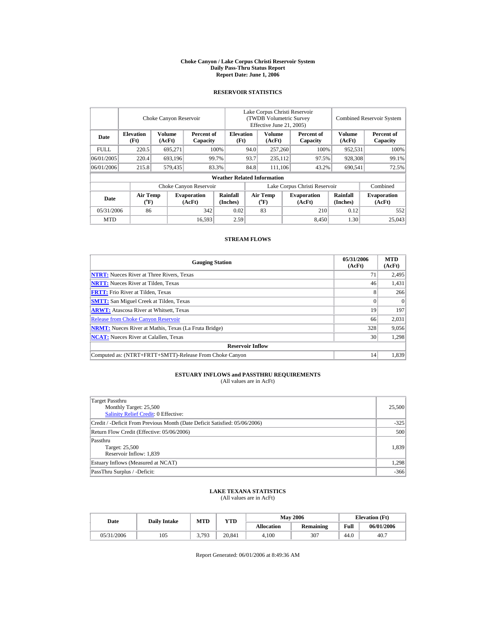#### **Choke Canyon / Lake Corpus Christi Reservoir System Daily Pass-Thru Status Report Report Date: June 1, 2006**

### **RESERVOIR STATISTICS**

|             |                                             | Choke Canyon Reservoir |                              |                                                    | Lake Corpus Christi Reservoir<br>(TWDB Volumetric Survey<br>Effective June 21, 2005) |                                             |  |                               |                      | <b>Combined Reservoir System</b> |
|-------------|---------------------------------------------|------------------------|------------------------------|----------------------------------------------------|--------------------------------------------------------------------------------------|---------------------------------------------|--|-------------------------------|----------------------|----------------------------------|
| Date        | <b>Elevation</b><br>(Ft)                    | Volume<br>(AcFt)       |                              | <b>Elevation</b><br>Percent of<br>(Ft)<br>Capacity |                                                                                      | Volume<br>(AcFt)                            |  | Percent of<br>Capacity        | Volume<br>(AcFt)     | Percent of<br>Capacity           |
| <b>FULL</b> | 220.5                                       | 695.271                |                              | 100%                                               |                                                                                      | 257,260                                     |  | 100%                          | 952,531              | 100%                             |
| 06/01/2005  | 220.4                                       | 693,196                |                              | 99.7%                                              | 93.7<br>235.112                                                                      |                                             |  | 97.5%                         | 928,308              | 99.1%                            |
| 06/01/2006  | 215.8                                       | 579,435                |                              | 83.3%                                              | 84.8                                                                                 | 111,106                                     |  | 43.2%                         | 690,541              | 72.5%                            |
|             |                                             |                        |                              | <b>Weather Related Information</b>                 |                                                                                      |                                             |  |                               |                      |                                  |
|             |                                             |                        | Choke Canyon Reservoir       |                                                    |                                                                                      |                                             |  | Lake Corpus Christi Reservoir |                      | Combined                         |
| Date        | <b>Air Temp</b><br>$({}^{\circ}\mathbf{F})$ |                        | <b>Evaporation</b><br>(AcFt) | Rainfall<br>(Inches)                               |                                                                                      | <b>Air Temp</b><br>$({}^{\circ}\mathrm{F})$ |  | <b>Evaporation</b><br>(AcFt)  | Rainfall<br>(Inches) | <b>Evaporation</b><br>(AcFt)     |
| 05/31/2006  | 86                                          |                        | 342                          | 0.02                                               |                                                                                      | 83                                          |  | 210                           | 0.12                 | 552                              |
| <b>MTD</b>  |                                             |                        | 16,593                       | 2.59                                               |                                                                                      |                                             |  | 8.450                         | 1.30                 | 25,043                           |

#### **STREAM FLOWS**

| <b>Gauging Station</b>                                       | 05/31/2006<br>(AcFt) | <b>MTD</b><br>(AcFt) |
|--------------------------------------------------------------|----------------------|----------------------|
| <b>NTRT:</b> Nueces River at Three Rivers, Texas             | 71                   | 2,495                |
| <b>NRTT:</b> Nueces River at Tilden, Texas                   | 46                   | 1,431                |
| <b>FRTT:</b> Frio River at Tilden, Texas                     | 8                    | 266                  |
| <b>SMTT:</b> San Miguel Creek at Tilden, Texas               |                      | $\Omega$             |
| <b>ARWT:</b> Atascosa River at Whitsett, Texas               | 19                   | 197                  |
| <b>Release from Choke Canyon Reservoir</b>                   | 66                   | 2.031                |
| <b>NRMT:</b> Nueces River at Mathis, Texas (La Fruta Bridge) | 328                  | 9,056                |
| <b>NCAT:</b> Nueces River at Calallen. Texas                 | 30                   | 1,298                |
| <b>Reservoir Inflow</b>                                      |                      |                      |
| Computed as: (NTRT+FRTT+SMTT)-Release From Choke Canyon      | 14                   | 1.839                |

# **ESTUARY INFLOWS and PASSTHRU REQUIREMENTS**<br>(All values are in AcFt)

| Target Passthru<br>Monthly Target: 25,500<br>Salinity Relief Credit: 0 Effective: | 25,500 |
|-----------------------------------------------------------------------------------|--------|
| Credit / -Deficit From Previous Month (Date Deficit Satisfied: 05/06/2006)        | $-325$ |
| Return Flow Credit (Effective: 05/06/2006)                                        | 500    |
| Passthru<br>Target: 25,500<br>Reservoir Inflow: 1,839                             | 1,839  |
| Estuary Inflows (Measured at NCAT)                                                | 1,298  |
| PassThru Surplus / -Deficit:                                                      | $-366$ |

# **LAKE TEXANA STATISTICS** (All values are in AcFt)

| Date       | <b>Dailv Intake</b> | <b>MTD</b> | <b>YTD</b> |                   | <b>May 2006</b> | <b>Elevation</b> (Ft) |            |
|------------|---------------------|------------|------------|-------------------|-----------------|-----------------------|------------|
|            |                     |            |            | <b>Allocation</b> | Remaining       | Full                  | 06/01/2006 |
| 05/31/2006 | 105                 | .793       | 20.841     | 4.100             | 307             | 44.0                  | 40.7       |

Report Generated: 06/01/2006 at 8:49:36 AM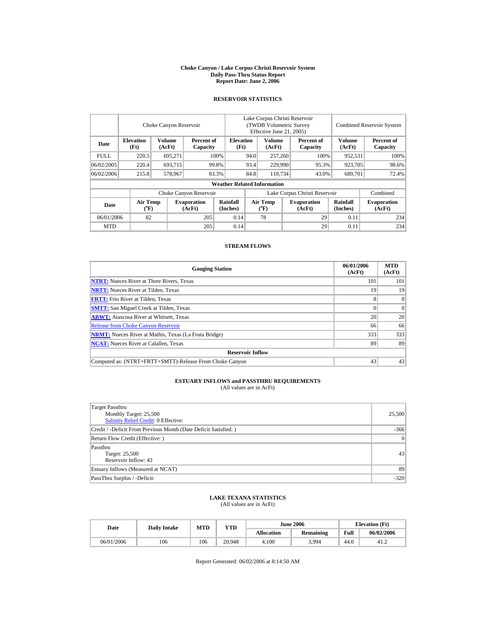#### **Choke Canyon / Lake Corpus Christi Reservoir System Daily Pass-Thru Status Report Report Date: June 2, 2006**

## **RESERVOIR STATISTICS**

|            |                                      | Choke Canyon Reservoir |                              |                                    | Lake Corpus Christi Reservoir<br>(TWDB Volumetric Survey)<br>Effective June 21, 2005) |                         |                      |                              |                  | <b>Combined Reservoir System</b> |
|------------|--------------------------------------|------------------------|------------------------------|------------------------------------|---------------------------------------------------------------------------------------|-------------------------|----------------------|------------------------------|------------------|----------------------------------|
| Date       | <b>Elevation</b><br>(Ft)             | Volume<br>(AcFt)       | Percent of<br>Capacity       | <b>Elevation</b><br>(Ft)           |                                                                                       | <b>Volume</b><br>(AcFt) |                      | Percent of<br>Capacity       | Volume<br>(AcFt) | Percent of<br>Capacity           |
| FULL.      | 220.5                                | 695.271                |                              | 100%                               | 94.0                                                                                  | 257,260                 |                      | 100%                         | 952.531          | 100%                             |
| 06/02/2005 | 220.4                                | 693.715                |                              | 99.8%                              | 93.4                                                                                  |                         | 229,990              | 95.3%                        | 923.705          | 98.6%                            |
| 06/02/2006 | 215.8                                | 578.967                |                              | 83.3%                              | 84.8                                                                                  | 110.734                 |                      | 43.0%                        | 689,701          | 72.4%                            |
|            |                                      |                        |                              | <b>Weather Related Information</b> |                                                                                       |                         |                      |                              |                  |                                  |
|            |                                      |                        | Choke Canyon Reservoir       |                                    | Lake Corpus Christi Reservoir                                                         |                         |                      |                              |                  | Combined                         |
| Date       | Air Temp<br>$({}^{\circ}\mathbf{F})$ |                        | <b>Evaporation</b><br>(AcFt) | Rainfall<br>(Inches)               | Air Temp<br><b>Evaporation</b><br>$({}^o\mathrm{F})$<br>(AcFt)                        |                         | Rainfall<br>(Inches) | <b>Evaporation</b><br>(AcFt) |                  |                                  |
| 06/01/2006 | 82                                   |                        | 205                          | 0.14                               |                                                                                       | 78                      |                      | 29                           | 0.11             | 234                              |
| <b>MTD</b> |                                      |                        | 205                          | 0.14                               |                                                                                       |                         |                      | 29                           | 0.11             | 234                              |

### **STREAM FLOWS**

| <b>Gauging Station</b>                                       | 06/01/2006<br>(AcFt) | <b>MTD</b><br>(AcFt) |
|--------------------------------------------------------------|----------------------|----------------------|
| <b>NTRT:</b> Nueces River at Three Rivers, Texas             | 101                  | 101                  |
| <b>NRTT:</b> Nueces River at Tilden, Texas                   | 19                   | 19                   |
| <b>FRTT:</b> Frio River at Tilden, Texas                     | 8                    |                      |
| <b>SMTT:</b> San Miguel Creek at Tilden, Texas               |                      | $\Omega$             |
| <b>ARWT:</b> Atascosa River at Whitsett, Texas               | 20                   | 20                   |
| <b>Release from Choke Canyon Reservoir</b>                   | 66                   | 66                   |
| <b>NRMT:</b> Nueces River at Mathis, Texas (La Fruta Bridge) | 333                  | 333                  |
| <b>NCAT:</b> Nueces River at Calallen, Texas                 | 89                   | 89                   |
| <b>Reservoir Inflow</b>                                      |                      |                      |
| Computed as: (NTRT+FRTT+SMTT)-Release From Choke Canyon      | 43                   | 43                   |

# **ESTUARY INFLOWS and PASSTHRU REQUIREMENTS**<br>(All values are in AcFt)

| Target Passthru<br>Monthly Target: 25,500<br>Salinity Relief Credit: 0 Effective: | 25,500          |
|-----------------------------------------------------------------------------------|-----------------|
| Credit / -Deficit From Previous Month (Date Deficit Satisfied: )                  | $-366$          |
| Return Flow Credit (Effective: )                                                  | $\vert 0 \vert$ |
| Passthru<br>Target: 25,500<br>Reservoir Inflow: 43                                | 43              |
| Estuary Inflows (Measured at NCAT)                                                | 89              |
| PassThru Surplus / -Deficit:                                                      | $-320$          |

## **LAKE TEXANA STATISTICS** (All values are in AcFt)

| Date<br><b>Daily Intake</b> |     | <b>MTD</b> | <b>YTD</b> |            | <b>June 2006</b> |      | <b>Elevation</b> (Ft) |
|-----------------------------|-----|------------|------------|------------|------------------|------|-----------------------|
|                             |     |            |            | Allocation | <b>Remaining</b> | Full | 06/02/2006            |
| 06/01/2006                  | 106 | 106        | 20.948     | 4.100      | 3.994            | 44.0 | 41.2                  |

Report Generated: 06/02/2006 at 8:14:50 AM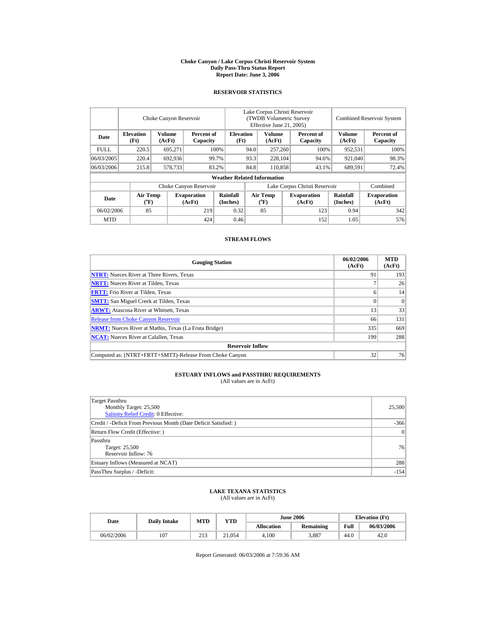#### **Choke Canyon / Lake Corpus Christi Reservoir System Daily Pass-Thru Status Report Report Date: June 3, 2006**

### **RESERVOIR STATISTICS**

|             | Choke Canyon Reservoir   |                  |                              |                                    | Lake Corpus Christi Reservoir<br>(TWDB Volumetric Survey<br>Effective June 21, 2005) |                                |  |                               |                         | <b>Combined Reservoir System</b> |
|-------------|--------------------------|------------------|------------------------------|------------------------------------|--------------------------------------------------------------------------------------|--------------------------------|--|-------------------------------|-------------------------|----------------------------------|
| Date        | <b>Elevation</b><br>(Ft) | Volume<br>(AcFt) | Percent of<br>Capacity       | <b>Elevation</b><br>(Ft)           | Volume<br>(AcFt)                                                                     |                                |  | Percent of<br>Capacity        | <b>Volume</b><br>(AcFt) | Percent of<br>Capacity           |
| <b>FULL</b> | 220.5                    | 695.271          |                              | 100%                               | 94.0                                                                                 | 257,260                        |  | 100%                          | 952,531                 | 100%                             |
| 06/03/2005  | 220.4                    | 692,936          |                              | 99.7%                              | 93.3                                                                                 | 228,104                        |  | 94.6%                         | 921,040                 | 98.3%                            |
| 06/03/2006  | 215.8                    | 578,733          |                              | 83.2%                              | 84.8                                                                                 | 110,858                        |  | 43.1%                         | 689,591                 | 72.4%                            |
|             |                          |                  |                              | <b>Weather Related Information</b> |                                                                                      |                                |  |                               |                         |                                  |
|             |                          |                  | Choke Canyon Reservoir       |                                    |                                                                                      |                                |  | Lake Corpus Christi Reservoir |                         | Combined                         |
| Date        | <b>Air Temp</b><br>(°F)  |                  | <b>Evaporation</b><br>(AcFt) | Rainfall<br>(Inches)               |                                                                                      | <b>Air Temp</b><br>$({}^o\!F)$ |  | <b>Evaporation</b><br>(AcFt)  | Rainfall<br>(Inches)    | <b>Evaporation</b><br>(AcFt)     |
| 06/02/2006  | 85                       |                  | 219                          | 0.32                               |                                                                                      | 85                             |  | 123                           | 0.94                    | 342                              |
| <b>MTD</b>  |                          |                  | 424                          | 0.46                               |                                                                                      |                                |  | 152                           | 1.05                    | 576                              |

### **STREAM FLOWS**

| <b>Gauging Station</b>                                       | 06/02/2006<br>(AcFt) | <b>MTD</b><br>(AcFt) |
|--------------------------------------------------------------|----------------------|----------------------|
| <b>NTRT:</b> Nueces River at Three Rivers, Texas             | 91                   | 193                  |
| <b>NRTT:</b> Nueces River at Tilden, Texas                   |                      | 26                   |
| <b>FRTT:</b> Frio River at Tilden, Texas                     | 6                    | 14                   |
| <b>SMTT:</b> San Miguel Creek at Tilden, Texas               | $\Omega$             | $\Omega$             |
| <b>ARWT:</b> Atascosa River at Whitsett, Texas               | 13                   | 33                   |
| <b>Release from Choke Canyon Reservoir</b>                   | 66                   | 131                  |
| <b>NRMT:</b> Nueces River at Mathis, Texas (La Fruta Bridge) | 335                  | 669                  |
| <b>NCAT:</b> Nueces River at Calallen, Texas                 | 199                  | 288                  |
| <b>Reservoir Inflow</b>                                      |                      |                      |
| Computed as: (NTRT+FRTT+SMTT)-Release From Choke Canyon      | 32                   | 76                   |

# **ESTUARY INFLOWS and PASSTHRU REQUIREMENTS**<br>(All values are in AcFt)

| Target Passthru<br>Monthly Target: 25,500<br>Salinity Relief Credit: 0 Effective: | 25,500 |
|-----------------------------------------------------------------------------------|--------|
| Credit / -Deficit From Previous Month (Date Deficit Satisfied: )                  | $-366$ |
| Return Flow Credit (Effective: )                                                  | 0      |
| Passthru<br>Target: 25,500<br>Reservoir Inflow: 76                                | 76     |
| Estuary Inflows (Measured at NCAT)                                                | 288    |
| PassThru Surplus / -Deficit:                                                      | $-154$ |

# **LAKE TEXANA STATISTICS** (All values are in AcFt)

| Date       | <b>Daily Intake</b> | <b>MTD</b> | VTD    |                   | <b>June 2006</b> | <b>Elevation</b> (Ft) |            |
|------------|---------------------|------------|--------|-------------------|------------------|-----------------------|------------|
|            |                     |            |        | <b>Allocation</b> | <b>Remaining</b> | Full                  | 06/03/2006 |
| 06/02/2006 | 107                 | 213        | 21.054 | 4.100             | 3,887            | 44.0                  | 42.0       |

Report Generated: 06/03/2006 at 7:59:36 AM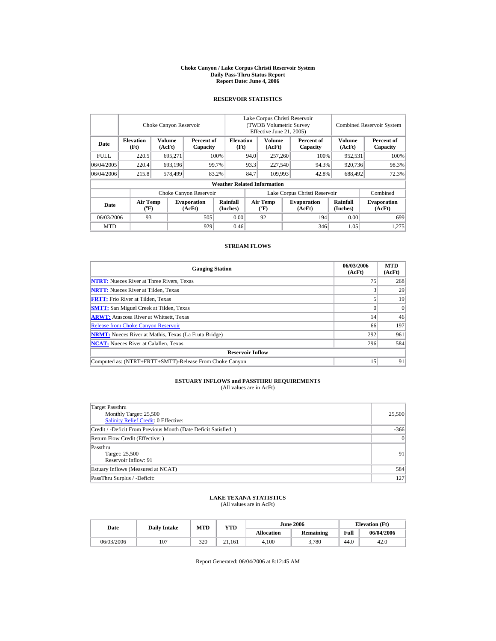#### **Choke Canyon / Lake Corpus Christi Reservoir System Daily Pass-Thru Status Report Report Date: June 4, 2006**

## **RESERVOIR STATISTICS**

|            |                                      | Choke Canyon Reservoir |                              |                                    | Lake Corpus Christi Reservoir<br>(TWDB Volumetric Survey)<br>Effective June 21, 2005) |                         |  |                              |                         | <b>Combined Reservoir System</b> |
|------------|--------------------------------------|------------------------|------------------------------|------------------------------------|---------------------------------------------------------------------------------------|-------------------------|--|------------------------------|-------------------------|----------------------------------|
| Date       | <b>Elevation</b><br>(Ft)             | Volume<br>(AcFt)       | Percent of<br>Capacity       | <b>Elevation</b><br>(Ft)           |                                                                                       | <b>Volume</b><br>(AcFt) |  | Percent of<br>Capacity       | <b>Volume</b><br>(AcFt) | Percent of<br>Capacity           |
| FULL.      | 220.5                                | 695.271                |                              | 100%                               | 94.0                                                                                  | 257,260                 |  | 100%                         | 952.531                 | 100%                             |
| 06/04/2005 | 220.4                                | 693.196                |                              | 99.7%                              | 93.3                                                                                  | 227,540                 |  | 94.3%                        | 920.736                 | 98.3%                            |
| 06/04/2006 | 215.8                                | 578,499                |                              | 83.2%                              | 84.7                                                                                  | 109.993                 |  | 42.8%                        | 688,492                 | 72.3%                            |
|            |                                      |                        |                              | <b>Weather Related Information</b> |                                                                                       |                         |  |                              |                         |                                  |
|            |                                      |                        | Choke Canyon Reservoir       |                                    | Lake Corpus Christi Reservoir                                                         |                         |  |                              |                         | Combined                         |
| Date       | Air Temp<br>$({}^{\circ}\mathrm{F})$ |                        | <b>Evaporation</b><br>(AcFt) | Rainfall<br>(Inches)               |                                                                                       | Air Temp<br>$(^{o}F)$   |  | <b>Evaporation</b><br>(AcFt) | Rainfall<br>(Inches)    | <b>Evaporation</b><br>(AcFt)     |
| 06/03/2006 | 93                                   |                        | 505                          | 0.00                               |                                                                                       | 92                      |  | 194                          | 0.00                    | 699                              |
| <b>MTD</b> |                                      |                        | 929                          | 0.46                               |                                                                                       |                         |  | 346                          | 1.05                    | 1,275                            |

### **STREAM FLOWS**

| <b>Gauging Station</b>                                       | 06/03/2006<br>(AcFt) | <b>MTD</b><br>(AcFt) |
|--------------------------------------------------------------|----------------------|----------------------|
| <b>NTRT:</b> Nueces River at Three Rivers, Texas             | 75                   | 268                  |
| <b>NRTT:</b> Nueces River at Tilden, Texas                   |                      | 29                   |
| <b>FRTT:</b> Frio River at Tilden, Texas                     |                      | 19                   |
| <b>SMTT:</b> San Miguel Creek at Tilden, Texas               |                      | $\Omega$             |
| <b>ARWT:</b> Atascosa River at Whitsett, Texas               | 14                   | 46                   |
| <b>Release from Choke Canyon Reservoir</b>                   | 66                   | 197                  |
| <b>NRMT:</b> Nueces River at Mathis, Texas (La Fruta Bridge) | 292                  | 961                  |
| <b>NCAT:</b> Nueces River at Calallen, Texas                 | 296                  | 584                  |
| <b>Reservoir Inflow</b>                                      |                      |                      |
| Computed as: (NTRT+FRTT+SMTT)-Release From Choke Canyon      | 15                   | 91                   |

# **ESTUARY INFLOWS and PASSTHRU REQUIREMENTS**<br>(All values are in AcFt)

| Target Passthru<br>Monthly Target: 25,500<br>Salinity Relief Credit: 0 Effective: | 25,500          |
|-----------------------------------------------------------------------------------|-----------------|
| Credit / -Deficit From Previous Month (Date Deficit Satisfied: )                  | $-366$          |
| Return Flow Credit (Effective: )                                                  | $\vert 0 \vert$ |
| Passthru<br>Target: 25,500<br>Reservoir Inflow: 91                                | 91              |
| Estuary Inflows (Measured at NCAT)                                                | 584             |
| PassThru Surplus / -Deficit:                                                      | 127             |

## **LAKE TEXANA STATISTICS** (All values are in AcFt)

| <b>Date</b> | <b>Daily Intake</b> | <b>MTD</b> | <b>YTD</b> |                   | <b>June 2006</b> | <b>Elevation</b> (Ft) |            |
|-------------|---------------------|------------|------------|-------------------|------------------|-----------------------|------------|
|             |                     |            |            | <b>Allocation</b> | <b>Remaining</b> | Full                  | 06/04/2006 |
| 06/03/2006  | 107                 | 320        | 21.161     | 4.100             | 3.780            | 44.0                  | 42.0       |

Report Generated: 06/04/2006 at 8:12:45 AM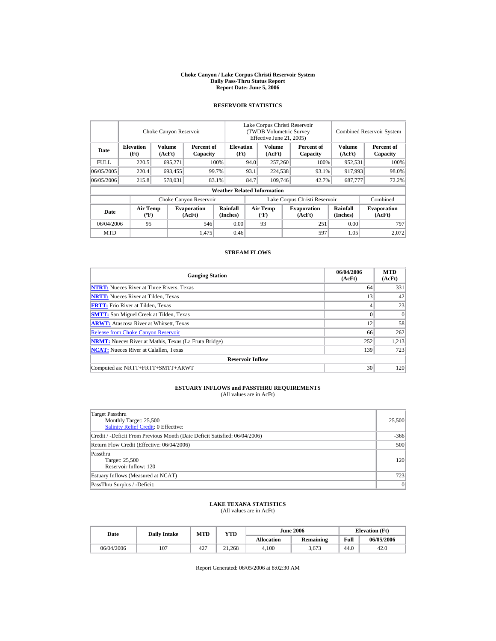#### **Choke Canyon / Lake Corpus Christi Reservoir System Daily Pass-Thru Status Report Report Date: June 5, 2006**

### **RESERVOIR STATISTICS**

|            | Choke Canyon Reservoir                      |                  |                              |                                    | Lake Corpus Christi Reservoir<br>(TWDB Volumetric Survey<br>Effective June 21, 2005) |                                  |  |                              | <b>Combined Reservoir System</b> |                              |  |
|------------|---------------------------------------------|------------------|------------------------------|------------------------------------|--------------------------------------------------------------------------------------|----------------------------------|--|------------------------------|----------------------------------|------------------------------|--|
| Date       | <b>Elevation</b><br>(Ft)                    | Volume<br>(AcFt) | Percent of<br>Capacity       | <b>Elevation</b><br>(Ft)           |                                                                                      | Volume<br>(AcFt)                 |  | Percent of<br>Capacity       | Volume<br>(AcFt)                 | Percent of<br>Capacity       |  |
| FULL.      | 220.5                                       | 695,271          |                              | 100%                               | 94.0                                                                                 | 257,260                          |  | 100%                         | 952,531                          | 100%                         |  |
| 06/05/2005 | 220.4                                       | 693,455          |                              | 99.7%                              | 93.1                                                                                 | 224,538                          |  | 93.1%                        | 917,993                          | 98.0%                        |  |
| 06/05/2006 | 215.8                                       | 578,031          |                              | 83.1%                              | 84.7                                                                                 | 109,746                          |  | 42.7%                        | 687,777                          | 72.2%                        |  |
|            |                                             |                  |                              | <b>Weather Related Information</b> |                                                                                      |                                  |  |                              |                                  |                              |  |
|            |                                             |                  | Choke Canyon Reservoir       |                                    | Lake Corpus Christi Reservoir                                                        |                                  |  |                              |                                  | Combined                     |  |
| Date       | <b>Air Temp</b><br>$({}^{\circ}\mathrm{F})$ |                  | <b>Evaporation</b><br>(AcFt) | Rainfall<br>(Inches)               |                                                                                      | <b>Air Temp</b><br>$(^{\circ}F)$ |  | <b>Evaporation</b><br>(AcFt) | <b>Rainfall</b><br>(Inches)      | <b>Evaporation</b><br>(AcFt) |  |
| 06/04/2006 | 95                                          |                  | 546                          | 0.00                               |                                                                                      | 93                               |  | 251                          | 0.00                             | 797                          |  |
| <b>MTD</b> |                                             |                  | 1,475                        | 0.46                               |                                                                                      |                                  |  | 597                          | 1.05                             | 2.072                        |  |

### **STREAM FLOWS**

| <b>Gauging Station</b>                                       | 06/04/2006<br>(AcFt) | <b>MTD</b><br>(AcFt) |
|--------------------------------------------------------------|----------------------|----------------------|
| <b>NTRT:</b> Nueces River at Three Rivers, Texas             | 64                   | 331                  |
| <b>NRTT:</b> Nueces River at Tilden, Texas                   | 13                   | 42                   |
| <b>FRTT:</b> Frio River at Tilden, Texas                     | 4                    | 23                   |
| <b>SMTT:</b> San Miguel Creek at Tilden, Texas               | $\Omega$             | $\Omega$             |
| <b>ARWT:</b> Atascosa River at Whitsett, Texas               | 12                   | 58                   |
| <b>Release from Choke Canyon Reservoir</b>                   | 66                   | 262                  |
| <b>NRMT:</b> Nueces River at Mathis, Texas (La Fruta Bridge) | 252                  | 1,213                |
| <b>NCAT:</b> Nueces River at Calallen, Texas                 | 139                  | 723                  |
| <b>Reservoir Inflow</b>                                      |                      |                      |
| Computed as: NRTT+FRTT+SMTT+ARWT                             | 30                   | 120                  |

# **ESTUARY INFLOWS and PASSTHRU REQUIREMENTS**<br>(All values are in AcFt)

| Target Passthru<br>Monthly Target: 25,500<br><b>Salinity Relief Credit: 0 Effective:</b> | 25,500 |
|------------------------------------------------------------------------------------------|--------|
| Credit / -Deficit From Previous Month (Date Deficit Satisfied: 06/04/2006)               | $-366$ |
| Return Flow Credit (Effective: 06/04/2006)                                               | 500    |
| Passthru<br>Target: 25,500<br>Reservoir Inflow: 120                                      | 120    |
| Estuary Inflows (Measured at NCAT)                                                       | 723    |
| PassThru Surplus / -Deficit:                                                             | 0      |

### **LAKE TEXANA STATISTICS**

(All values are in AcFt)

| Date       | <b>Daily Intake</b> | <b>MTD</b> | YTD    |                   | <b>June 2006</b> | <b>Elevation</b> (Ft) |            |
|------------|---------------------|------------|--------|-------------------|------------------|-----------------------|------------|
|            |                     |            |        | <b>Allocation</b> | Remaining        | Full                  | 06/05/2006 |
| 06/04/2006 | 107                 | 427        | 21.268 | 4.100             | 3.673            | 44.0                  | 42.0       |

Report Generated: 06/05/2006 at 8:02:30 AM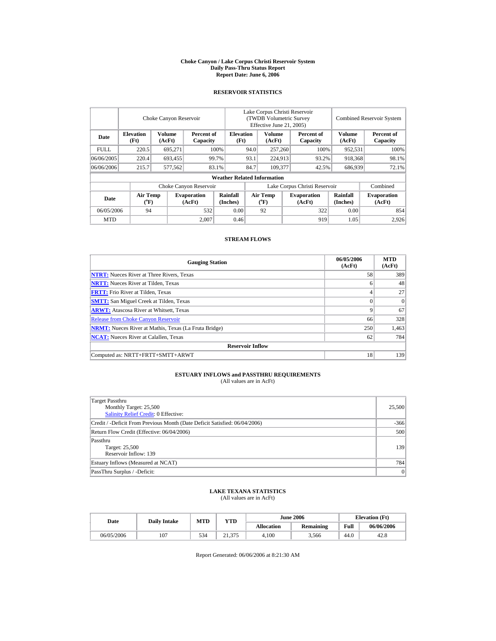#### **Choke Canyon / Lake Corpus Christi Reservoir System Daily Pass-Thru Status Report Report Date: June 6, 2006**

### **RESERVOIR STATISTICS**

|             | Choke Canyon Reservoir                |                  |                              |                                    | Lake Corpus Christi Reservoir<br>(TWDB Volumetric Survey<br>Effective June 21, 2005) |                                             |  |                              | <b>Combined Reservoir System</b> |                              |  |
|-------------|---------------------------------------|------------------|------------------------------|------------------------------------|--------------------------------------------------------------------------------------|---------------------------------------------|--|------------------------------|----------------------------------|------------------------------|--|
| Date        | <b>Elevation</b><br>(Ft)              | Volume<br>(AcFt) | Percent of<br>Capacity       | <b>Elevation</b><br>(Ft)           |                                                                                      | Volume<br>(AcFt)                            |  | Percent of<br>Capacity       | Volume<br>(AcFt)                 | Percent of<br>Capacity       |  |
| <b>FULL</b> | 220.5                                 | 695.271          |                              | 100%                               | 94.0                                                                                 | 257,260                                     |  | 100%                         | 952,531                          | 100%                         |  |
| 06/06/2005  | 220.4                                 | 693,455          |                              | 99.7%                              | 93.1                                                                                 | 224.913                                     |  | 93.2%                        | 918,368                          | 98.1%                        |  |
| 06/06/2006  | 215.7                                 | 577,562          |                              | 83.1%                              | 84.7                                                                                 | 109.377                                     |  | 42.5%                        | 686.939                          | 72.1%                        |  |
|             |                                       |                  |                              | <b>Weather Related Information</b> |                                                                                      |                                             |  |                              |                                  |                              |  |
|             |                                       |                  | Choke Canyon Reservoir       |                                    | Lake Corpus Christi Reservoir                                                        |                                             |  |                              |                                  | Combined                     |  |
| Date        | <b>Air Temp</b><br>$({}^o\mathbf{F})$ |                  | <b>Evaporation</b><br>(AcFt) | <b>Rainfall</b><br>(Inches)        |                                                                                      | <b>Air Temp</b><br>$({}^{\circ}\mathrm{F})$ |  | <b>Evaporation</b><br>(AcFt) | Rainfall<br>(Inches)             | <b>Evaporation</b><br>(AcFt) |  |
| 06/05/2006  | 94                                    |                  | 532                          | 0.00                               |                                                                                      | 92                                          |  | 322                          | 0.00                             | 854                          |  |
| <b>MTD</b>  |                                       |                  | 2.007                        | 0.46                               |                                                                                      |                                             |  | 919                          | 1.05                             | 2,926                        |  |

### **STREAM FLOWS**

| <b>Gauging Station</b>                                       | 06/05/2006<br>(AcFt) | <b>MTD</b><br>(AcFt) |
|--------------------------------------------------------------|----------------------|----------------------|
| <b>NTRT:</b> Nueces River at Three Rivers, Texas             | 58                   | 389                  |
| <b>NRTT:</b> Nueces River at Tilden, Texas                   | 6                    | 48                   |
| <b>FRTT:</b> Frio River at Tilden, Texas                     | 4                    | 27                   |
| <b>SMTT:</b> San Miguel Creek at Tilden, Texas               | $\Omega$             | $\Omega$             |
| <b>ARWT:</b> Atascosa River at Whitsett, Texas               | $\mathbf Q$          | 67                   |
| <b>Release from Choke Canyon Reservoir</b>                   | 66                   | 328                  |
| <b>NRMT:</b> Nueces River at Mathis, Texas (La Fruta Bridge) | 250                  | 1,463                |
| <b>NCAT:</b> Nueces River at Calallen, Texas                 | 62                   | 784                  |
| <b>Reservoir Inflow</b>                                      |                      |                      |
| Computed as: NRTT+FRTT+SMTT+ARWT                             | 18                   | 139                  |

# **ESTUARY INFLOWS and PASSTHRU REQUIREMENTS**<br>(All values are in AcFt)

| Target Passthru<br>Monthly Target: 25,500<br>Salinity Relief Credit: 0 Effective: | 25,500 |
|-----------------------------------------------------------------------------------|--------|
| Credit / -Deficit From Previous Month (Date Deficit Satisfied: 06/04/2006)        | $-366$ |
| Return Flow Credit (Effective: 06/04/2006)                                        | 500    |
| Passthru<br>Target: 25,500<br>Reservoir Inflow: 139                               | 139    |
| Estuary Inflows (Measured at NCAT)                                                | 784    |
| PassThru Surplus / -Deficit:                                                      | 0      |

# **LAKE TEXANA STATISTICS** (All values are in AcFt)

| Date       | <b>Daily Intake</b> | <b>MTD</b> | <b>YTD</b>             |                   | <b>June 2006</b> | <b>Elevation</b> (Ft) |            |
|------------|---------------------|------------|------------------------|-------------------|------------------|-----------------------|------------|
|            |                     |            |                        | <b>Allocation</b> | Remaining        | Full                  | 06/06/2006 |
| 06/05/2006 | 107                 | 534        | 21.375<br>$^{\circ}$ 1 | 4.100             | 3.566            | 44.0                  | 42.8       |

Report Generated: 06/06/2006 at 8:21:30 AM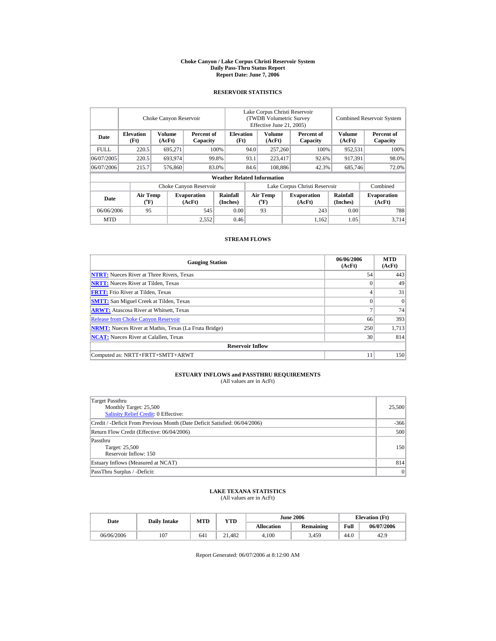#### **Choke Canyon / Lake Corpus Christi Reservoir System Daily Pass-Thru Status Report Report Date: June 7, 2006**

### **RESERVOIR STATISTICS**

|             |                                             | Choke Canyon Reservoir  |                              |                                    |                                              | Lake Corpus Christi Reservoir<br>(TWDB Volumetric Survey<br>Effective June 21, 2005) |  |                              |                      | <b>Combined Reservoir System</b> |  |  |
|-------------|---------------------------------------------|-------------------------|------------------------------|------------------------------------|----------------------------------------------|--------------------------------------------------------------------------------------|--|------------------------------|----------------------|----------------------------------|--|--|
| Date        | <b>Elevation</b><br>(Ft)                    | <b>Volume</b><br>(AcFt) | Percent of<br>Capacity       |                                    | Volume<br><b>Elevation</b><br>(Ft)<br>(AcFt) |                                                                                      |  | Percent of<br>Capacity       | Volume<br>(AcFt)     | Percent of<br>Capacity           |  |  |
| <b>FULL</b> | 220.5                                       | 695,271                 |                              | 100%                               | 94.0                                         | 257,260                                                                              |  | 100%                         | 952,531              | 100%                             |  |  |
| 06/07/2005  | 220.5                                       | 693.974                 |                              | 99.8%                              | 93.1<br>223.417                              |                                                                                      |  | 92.6%                        | 917.391              | 98.0%                            |  |  |
| 06/07/2006  | 215.7                                       | 576,860                 |                              | 83.0%                              | 84.6                                         | 108,886                                                                              |  | 42.3%                        | 685,746              | 72.0%                            |  |  |
|             |                                             |                         |                              | <b>Weather Related Information</b> |                                              |                                                                                      |  |                              |                      |                                  |  |  |
|             |                                             |                         | Choke Canyon Reservoir       |                                    | Lake Corpus Christi Reservoir                |                                                                                      |  |                              |                      | Combined                         |  |  |
| Date        | <b>Air Temp</b><br>$({}^{\circ}\mathbf{F})$ |                         | <b>Evaporation</b><br>(AcFt) | Rainfall<br>(Inches)               |                                              | <b>Air Temp</b><br>$({}^{\circ}\mathrm{F})$                                          |  | <b>Evaporation</b><br>(AcFt) | Rainfall<br>(Inches) | <b>Evaporation</b><br>(AcFt)     |  |  |
| 06/06/2006  | 95                                          |                         | 545                          | 0.00                               |                                              | 93                                                                                   |  | 243                          | 0.00                 | 788                              |  |  |
| <b>MTD</b>  |                                             |                         | 2,552                        | 0.46                               |                                              |                                                                                      |  | 1.162                        | 1.05                 | 3.714                            |  |  |

### **STREAM FLOWS**

| <b>Gauging Station</b>                                       | 06/06/2006<br>(AcFt) | <b>MTD</b><br>(AcFt) |
|--------------------------------------------------------------|----------------------|----------------------|
| <b>NTRT:</b> Nueces River at Three Rivers, Texas             | 54                   | 443                  |
| <b>NRTT:</b> Nueces River at Tilden, Texas                   | $\Omega$             | 49                   |
| <b>FRTT:</b> Frio River at Tilden, Texas                     | 4                    | 31                   |
| <b>SMTT:</b> San Miguel Creek at Tilden, Texas               | $\Omega$             | $\Omega$             |
| <b>ARWT:</b> Atascosa River at Whitsett, Texas               | $\mathbf{r}$         | 74                   |
| <b>Release from Choke Canyon Reservoir</b>                   | 66                   | 393                  |
| <b>NRMT:</b> Nueces River at Mathis, Texas (La Fruta Bridge) | 250                  | 1,713                |
| <b>NCAT:</b> Nueces River at Calallen, Texas                 | 30                   | 814                  |
| <b>Reservoir Inflow</b>                                      |                      |                      |
| Computed as: NRTT+FRTT+SMTT+ARWT                             | 11                   | 150                  |

# **ESTUARY INFLOWS and PASSTHRU REQUIREMENTS**<br>(All values are in AcFt)

| Target Passthru<br>Monthly Target: 25,500<br>Salinity Relief Credit: 0 Effective: | 25,500 |
|-----------------------------------------------------------------------------------|--------|
| Credit / -Deficit From Previous Month (Date Deficit Satisfied: 06/04/2006)        | $-366$ |
| Return Flow Credit (Effective: 06/04/2006)                                        | 500    |
| Passthru<br>Target: 25,500<br>Reservoir Inflow: 150                               | 150    |
| Estuary Inflows (Measured at NCAT)                                                | 814    |
| PassThru Surplus / -Deficit:                                                      | 0      |

# **LAKE TEXANA STATISTICS** (All values are in AcFt)

| Date       | <b>Daily Intake</b> | <b>MTD</b> | VTD    |                   | <b>June 2006</b> | <b>Elevation</b> (Ft) |            |
|------------|---------------------|------------|--------|-------------------|------------------|-----------------------|------------|
|            |                     |            |        | <b>Allocation</b> | <b>Remaining</b> | Full                  | 06/07/2006 |
| 06/06/2006 | 107                 | 641        | 21.482 | 4.100             | 3,459            | 44.0                  | 42.9       |

Report Generated: 06/07/2006 at 8:12:00 AM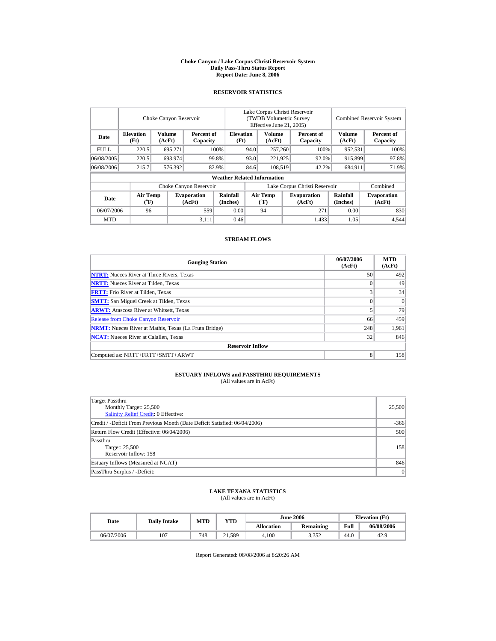#### **Choke Canyon / Lake Corpus Christi Reservoir System Daily Pass-Thru Status Report Report Date: June 8, 2006**

### **RESERVOIR STATISTICS**

|             | Choke Canyon Reservoir                |                  |                              |                                    | Lake Corpus Christi Reservoir<br>(TWDB Volumetric Survey<br>Effective June 21, 2005) |                                             |  |                              | <b>Combined Reservoir System</b> |                              |  |
|-------------|---------------------------------------|------------------|------------------------------|------------------------------------|--------------------------------------------------------------------------------------|---------------------------------------------|--|------------------------------|----------------------------------|------------------------------|--|
| Date        | <b>Elevation</b><br>(Ft)              | Volume<br>(AcFt) | Percent of<br>Capacity       | <b>Elevation</b><br>(Ft)           |                                                                                      | Volume<br>(AcFt)                            |  | Percent of<br>Capacity       | Volume<br>(AcFt)                 | Percent of<br>Capacity       |  |
| <b>FULL</b> | 220.5                                 | 695.271          |                              | 100%                               | 94.0                                                                                 | 257,260                                     |  | 100%                         | 952,531                          | 100%                         |  |
| 06/08/2005  | 220.5                                 | 693,974          |                              | 99.8%                              | 93.0                                                                                 | 221,925                                     |  | 92.0%                        | 915,899                          | 97.8%                        |  |
| 06/08/2006  | 215.7                                 | 576.392          |                              | 82.9%                              | 84.6                                                                                 | 108.519                                     |  | 42.2%                        | 684.911                          | 71.9%                        |  |
|             |                                       |                  |                              | <b>Weather Related Information</b> |                                                                                      |                                             |  |                              |                                  |                              |  |
|             |                                       |                  | Choke Canyon Reservoir       |                                    | Lake Corpus Christi Reservoir                                                        |                                             |  |                              |                                  | Combined                     |  |
| Date        | <b>Air Temp</b><br>$({}^o\mathbf{F})$ |                  | <b>Evaporation</b><br>(AcFt) | Rainfall<br>(Inches)               |                                                                                      | <b>Air Temp</b><br>$({}^{\circ}\mathrm{F})$ |  | <b>Evaporation</b><br>(AcFt) | Rainfall<br>(Inches)             | <b>Evaporation</b><br>(AcFt) |  |
| 06/07/2006  | 96                                    |                  | 559                          | 0.00                               |                                                                                      | 94                                          |  | 271                          | 0.00                             | 830                          |  |
| <b>MTD</b>  |                                       |                  | 3.111                        | 0.46                               |                                                                                      |                                             |  | 1.433                        | 1.05                             | 4.544                        |  |

### **STREAM FLOWS**

| <b>Gauging Station</b>                                       | 06/07/2006<br>(AcFt) | <b>MTD</b><br>(AcFt) |
|--------------------------------------------------------------|----------------------|----------------------|
| <b>NTRT:</b> Nueces River at Three Rivers, Texas             | 50                   | 492                  |
| <b>NRTT:</b> Nueces River at Tilden, Texas                   | $\Omega$             | 49                   |
| <b>FRTT:</b> Frio River at Tilden, Texas                     | 3                    | 34                   |
| <b>SMTT:</b> San Miguel Creek at Tilden, Texas               | $\Omega$             | $\Omega$             |
| <b>ARWT:</b> Atascosa River at Whitsett, Texas               |                      | 79                   |
| <b>Release from Choke Canyon Reservoir</b>                   | 66                   | 459                  |
| <b>NRMT:</b> Nueces River at Mathis, Texas (La Fruta Bridge) | 248                  | 1,961                |
| <b>NCAT:</b> Nueces River at Calallen, Texas                 | 32                   | 846                  |
| <b>Reservoir Inflow</b>                                      |                      |                      |
| Computed as: NRTT+FRTT+SMTT+ARWT                             | 8                    | 158                  |

# **ESTUARY INFLOWS and PASSTHRU REQUIREMENTS**<br>(All values are in AcFt)

| Target Passthru<br>Monthly Target: 25,500<br>Salinity Relief Credit: 0 Effective: | 25,500 |
|-----------------------------------------------------------------------------------|--------|
| Credit / -Deficit From Previous Month (Date Deficit Satisfied: 06/04/2006)        | $-366$ |
| Return Flow Credit (Effective: 06/04/2006)                                        | 500    |
| Passthru<br>Target: 25,500<br>Reservoir Inflow: 158                               | 158    |
| Estuary Inflows (Measured at NCAT)                                                | 846    |
| PassThru Surplus / -Deficit:                                                      | 0      |

# **LAKE TEXANA STATISTICS** (All values are in AcFt)

| Date       | <b>Daily Intake</b> | <b>MTD</b> | VTD    |                   | <b>June 2006</b> | <b>Elevation</b> (Ft) |            |
|------------|---------------------|------------|--------|-------------------|------------------|-----------------------|------------|
|            |                     |            |        | <b>Allocation</b> | <b>Remaining</b> | Full                  | 06/08/2006 |
| 06/07/2006 | 107                 | 748        | 21.589 | 4.100             | 3357<br>ے رہی د  | 44.0                  | 42.9       |

Report Generated: 06/08/2006 at 8:20:26 AM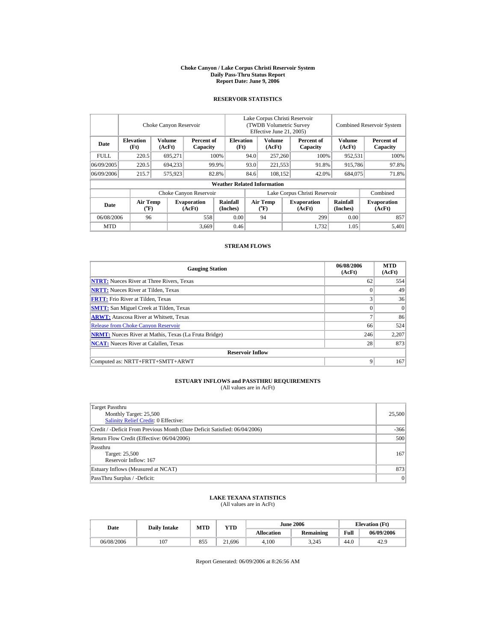#### **Choke Canyon / Lake Corpus Christi Reservoir System Daily Pass-Thru Status Report Report Date: June 9, 2006**

## **RESERVOIR STATISTICS**

|            |                                      | Choke Canyon Reservoir |                              |                                    | Lake Corpus Christi Reservoir<br>(TWDB Volumetric Survey)<br>Effective June 21, 2005) |                                    |  |                              | <b>Combined Reservoir System</b> |                              |
|------------|--------------------------------------|------------------------|------------------------------|------------------------------------|---------------------------------------------------------------------------------------|------------------------------------|--|------------------------------|----------------------------------|------------------------------|
| Date       | <b>Elevation</b><br>(Ft)             | Volume<br>(AcFt)       | Percent of<br>Capacity       | <b>Elevation</b><br>(Ft)           |                                                                                       | Volume<br>(AcFt)                   |  | Percent of<br>Capacity       | <b>Volume</b><br>(AcFt)          | Percent of<br>Capacity       |
| FULL.      | 220.5                                | 695.271                |                              | 100%                               | 94.0                                                                                  | 257,260                            |  | 100%                         | 952.531                          | 100%                         |
| 06/09/2005 | 220.5                                | 694.233                |                              | 99.9%                              | 93.0                                                                                  | 221.553                            |  | 91.8%                        | 915.786                          | 97.8%                        |
| 06/09/2006 | 215.7                                | 575,923                |                              | 82.8%                              | 84.6                                                                                  | 108.152                            |  | 42.0%                        | 684,075                          | 71.8%                        |
|            |                                      |                        |                              | <b>Weather Related Information</b> |                                                                                       |                                    |  |                              |                                  |                              |
|            |                                      |                        | Choke Canyon Reservoir       |                                    | Lake Corpus Christi Reservoir                                                         |                                    |  |                              |                                  | Combined                     |
| Date       | Air Temp<br>$({}^{\circ}\mathrm{F})$ |                        | <b>Evaporation</b><br>(AcFt) | Rainfall<br>(Inches)               |                                                                                       | Air Temp<br>$({}^{\circ}\text{F})$ |  | <b>Evaporation</b><br>(AcFt) | Rainfall<br>(Inches)             | <b>Evaporation</b><br>(AcFt) |
| 06/08/2006 | 96                                   |                        | 558                          | 0.00                               |                                                                                       | 94                                 |  | 299                          | 0.00                             | 857                          |
| <b>MTD</b> |                                      |                        | 3,669                        | 0.46                               |                                                                                       |                                    |  | 1.732                        | 1.05                             | 5,401                        |

### **STREAM FLOWS**

| <b>Gauging Station</b>                                       | 06/08/2006<br>(AcFt) | <b>MTD</b><br>(AcFt) |
|--------------------------------------------------------------|----------------------|----------------------|
| <b>NTRT:</b> Nueces River at Three Rivers, Texas             | 62                   | 554                  |
| <b>NRTT:</b> Nueces River at Tilden, Texas                   | $\Omega$             | 49                   |
| <b>FRTT:</b> Frio River at Tilden, Texas                     | 3                    | 36                   |
| <b>SMTT:</b> San Miguel Creek at Tilden, Texas               | $\Omega$             | $\Omega$             |
| <b>ARWT:</b> Atascosa River at Whitsett, Texas               | $\overline{7}$       | 86                   |
| <b>Release from Choke Canyon Reservoir</b>                   | 66                   | 524                  |
| <b>NRMT:</b> Nueces River at Mathis, Texas (La Fruta Bridge) | 246                  | 2,207                |
| <b>NCAT:</b> Nueces River at Calallen, Texas                 | 28                   | 873                  |
| <b>Reservoir Inflow</b>                                      |                      |                      |
| Computed as: NRTT+FRTT+SMTT+ARWT                             | 9                    | 167                  |

## **ESTUARY INFLOWS and PASSTHRU REQUIREMENTS**<br>(All values are in AcFt)

| Target Passthru<br>Monthly Target: 25,500<br>Salinity Relief Credit: 0 Effective: | 25,500 |
|-----------------------------------------------------------------------------------|--------|
| Credit / -Deficit From Previous Month (Date Deficit Satisfied: 06/04/2006)        | $-366$ |
| Return Flow Credit (Effective: 06/04/2006)                                        | 500    |
| Passthru<br>Target: 25,500<br>Reservoir Inflow: 167                               | 167    |
| Estuary Inflows (Measured at NCAT)                                                | 873    |
| PassThru Surplus / -Deficit:                                                      | 0      |

## **LAKE TEXANA STATISTICS** (All values are in AcFt)

| Date       | <b>Daily Intake</b> | <b>MTD</b> | <b>YTD</b> |            | <b>June 2006</b> | <b>Elevation</b> (Ft) |            |
|------------|---------------------|------------|------------|------------|------------------|-----------------------|------------|
|            |                     |            |            | Allocation | <b>Remaining</b> | Full                  | 06/09/2006 |
| 06/08/2006 | 107                 | 855        | 21.696     | 4.100      | 3,245            | 44.0                  | 42.9       |

Report Generated: 06/09/2006 at 8:26:56 AM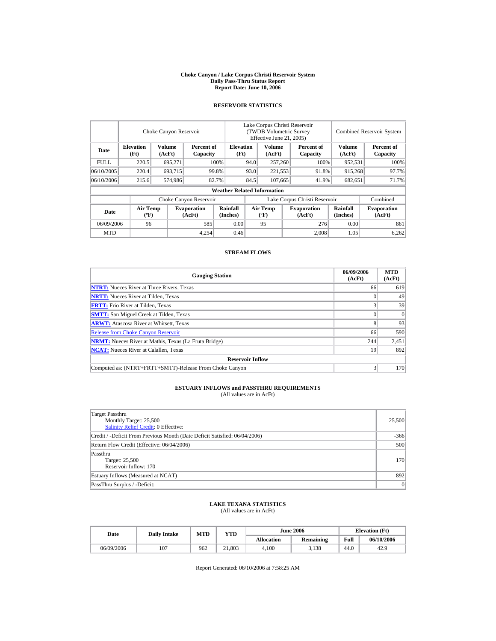#### **Choke Canyon / Lake Corpus Christi Reservoir System Daily Pass-Thru Status Report Report Date: June 10, 2006**

### **RESERVOIR STATISTICS**

|            |                                             | Choke Canyon Reservoir |                              |                                    | Lake Corpus Christi Reservoir<br>(TWDB Volumetric Survey<br>Effective June 21, 2005) |                                          |  |                              |                             | <b>Combined Reservoir System</b> |
|------------|---------------------------------------------|------------------------|------------------------------|------------------------------------|--------------------------------------------------------------------------------------|------------------------------------------|--|------------------------------|-----------------------------|----------------------------------|
| Date       | <b>Elevation</b><br>(Ft)                    | Volume<br>(AcFt)       | Percent of<br>Capacity       | <b>Elevation</b><br>(Ft)           |                                                                                      | Volume<br>(AcFt)                         |  | Percent of<br>Capacity       | <b>Volume</b><br>(AcFt)     | Percent of<br>Capacity           |
| FULL.      | 220.5                                       | 695,271                |                              | 100%                               | 94.0                                                                                 | 257,260                                  |  | 100%                         | 952,531                     | 100%                             |
| 06/10/2005 | 220.4                                       | 693,715                |                              | 99.8%                              | 93.0                                                                                 | 221,553                                  |  | 91.8%                        | 915,268                     | 97.7%                            |
| 06/10/2006 | 215.6                                       | 574,986                |                              | 82.7%                              | 84.5                                                                                 | 107.665                                  |  | 41.9%                        | 682,651                     | 71.7%                            |
|            |                                             |                        |                              | <b>Weather Related Information</b> |                                                                                      |                                          |  |                              |                             |                                  |
|            |                                             |                        | Choke Canyon Reservoir       |                                    |                                                                                      | Lake Corpus Christi Reservoir            |  |                              |                             | Combined                         |
| Date       | <b>Air Temp</b><br>$({}^{\circ}\mathrm{F})$ |                        | <b>Evaporation</b><br>(AcFt) | <b>Rainfall</b><br>(Inches)        |                                                                                      | <b>Air Temp</b><br>$({}^{\circ}{\rm F})$ |  | <b>Evaporation</b><br>(AcFt) | <b>Rainfall</b><br>(Inches) | <b>Evaporation</b><br>(AcFt)     |
| 06/09/2006 | 96                                          |                        | 585                          | 0.00                               |                                                                                      | 95                                       |  | 276                          | 0.00                        | 861                              |
| <b>MTD</b> |                                             |                        | 4.254                        | 0.46                               |                                                                                      |                                          |  | 2.008                        | 1.05                        | 6,262                            |

### **STREAM FLOWS**

| <b>Gauging Station</b>                                       | 06/09/2006<br>(AcFt) | <b>MTD</b><br>(AcFt) |
|--------------------------------------------------------------|----------------------|----------------------|
| <b>NTRT:</b> Nueces River at Three Rivers, Texas             | 66                   | 619                  |
| <b>NRTT:</b> Nueces River at Tilden, Texas                   |                      | 49                   |
| <b>FRTT:</b> Frio River at Tilden, Texas                     |                      | 39                   |
| <b>SMTT:</b> San Miguel Creek at Tilden, Texas               |                      | $\Omega$             |
| <b>ARWT:</b> Atascosa River at Whitsett, Texas               | 8                    | 93                   |
| <b>Release from Choke Canyon Reservoir</b>                   | 66                   | 590                  |
| <b>NRMT:</b> Nueces River at Mathis, Texas (La Fruta Bridge) | 244                  | 2,451                |
| <b>NCAT:</b> Nueces River at Calallen, Texas                 | 19                   | 892                  |
| <b>Reservoir Inflow</b>                                      |                      |                      |
| Computed as: (NTRT+FRTT+SMTT)-Release From Choke Canyon      |                      | 170                  |

# **ESTUARY INFLOWS and PASSTHRU REQUIREMENTS**<br>(All values are in AcFt)

| Target Passthru<br>Monthly Target: 25,500<br>Salinity Relief Credit: 0 Effective: | 25,500 |
|-----------------------------------------------------------------------------------|--------|
| Credit / -Deficit From Previous Month (Date Deficit Satisfied: 06/04/2006)        | $-366$ |
| Return Flow Credit (Effective: 06/04/2006)                                        | 500    |
| Passthru<br>Target: 25,500<br>Reservoir Inflow: 170                               | 170    |
| Estuary Inflows (Measured at NCAT)                                                | 892    |
| PassThru Surplus / -Deficit:                                                      | 0      |

### **LAKE TEXANA STATISTICS**

(All values are in AcFt)

|  | Date       | <b>Daily Intake</b> | MTD | <b>VTD</b> |                   | <b>June 2006</b> | <b>Elevation</b> (Ft) |            |
|--|------------|---------------------|-----|------------|-------------------|------------------|-----------------------|------------|
|  |            |                     |     |            | <b>Allocation</b> | <b>Remaining</b> | Full                  | 06/10/2006 |
|  | 06/09/2006 | 107                 | 962 | 21,803     | 4.100             | 3,138            | 44.0                  | 42.9       |

Report Generated: 06/10/2006 at 7:58:25 AM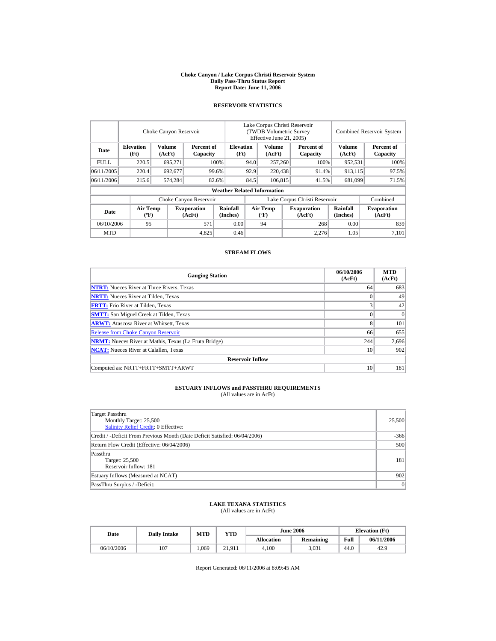#### **Choke Canyon / Lake Corpus Christi Reservoir System Daily Pass-Thru Status Report Report Date: June 11, 2006**

### **RESERVOIR STATISTICS**

|            |                                             | Choke Canyon Reservoir |                              |                                    | Lake Corpus Christi Reservoir<br>(TWDB Volumetric Survey<br>Effective June 21, 2005) |                                  |  |                              | <b>Combined Reservoir System</b> |                              |
|------------|---------------------------------------------|------------------------|------------------------------|------------------------------------|--------------------------------------------------------------------------------------|----------------------------------|--|------------------------------|----------------------------------|------------------------------|
| Date       | <b>Elevation</b><br>(Ft)                    | Volume<br>(AcFt)       | Percent of<br>Capacity       | <b>Elevation</b><br>(Ft)           |                                                                                      | Volume<br>(AcFt)                 |  | Percent of<br>Capacity       | Volume<br>(AcFt)                 | Percent of<br>Capacity       |
| FULL.      | 220.5                                       | 695,271                |                              | 100%                               | 94.0                                                                                 | 257,260                          |  | 100%                         | 952,531                          | 100%                         |
| 06/11/2005 | 220.4                                       | 692,677                |                              | 99.6%                              | 92.9                                                                                 | 220,438                          |  | 91.4%                        | 913,115                          | 97.5%                        |
| 06/11/2006 | 215.6                                       | 574,284                |                              | 82.6%                              | 84.5                                                                                 | 106.815                          |  | 41.5%                        | 681,099                          | 71.5%                        |
|            |                                             |                        |                              | <b>Weather Related Information</b> |                                                                                      |                                  |  |                              |                                  |                              |
|            |                                             |                        | Choke Canyon Reservoir       |                                    | Lake Corpus Christi Reservoir                                                        |                                  |  |                              |                                  | Combined                     |
| Date       | <b>Air Temp</b><br>$({}^{\circ}\mathrm{F})$ |                        | <b>Evaporation</b><br>(AcFt) | Rainfall<br>(Inches)               |                                                                                      | <b>Air Temp</b><br>$(^{\circ}F)$ |  | <b>Evaporation</b><br>(AcFt) | <b>Rainfall</b><br>(Inches)      | <b>Evaporation</b><br>(AcFt) |
| 06/10/2006 | 95                                          |                        | 571                          | 0.00                               |                                                                                      | 94                               |  | 268                          | 0.00                             | 839                          |
| <b>MTD</b> |                                             |                        | 4,825                        | 0.46                               |                                                                                      |                                  |  | 2,276                        | 1.05                             | 7.101                        |

### **STREAM FLOWS**

| <b>Gauging Station</b>                                       | 06/10/2006<br>(AcFt) | <b>MTD</b><br>(AcFt) |
|--------------------------------------------------------------|----------------------|----------------------|
| <b>NTRT:</b> Nueces River at Three Rivers, Texas             | 64                   | 683                  |
| <b>NRTT:</b> Nueces River at Tilden, Texas                   | $\Omega$             | 49                   |
| <b>FRTT:</b> Frio River at Tilden, Texas                     | 3                    | 42                   |
| <b>SMTT:</b> San Miguel Creek at Tilden, Texas               | $\theta$             | $\Omega$             |
| <b>ARWT:</b> Atascosa River at Whitsett, Texas               | 8                    | 101                  |
| <b>Release from Choke Canyon Reservoir</b>                   | 66                   | 655                  |
| <b>NRMT:</b> Nueces River at Mathis, Texas (La Fruta Bridge) | 244                  | 2,696                |
| <b>NCAT:</b> Nueces River at Calallen, Texas                 | 10                   | 902                  |
| <b>Reservoir Inflow</b>                                      |                      |                      |
| Computed as: NRTT+FRTT+SMTT+ARWT                             | 10                   | 181                  |

# **ESTUARY INFLOWS and PASSTHRU REQUIREMENTS**<br>(All values are in AcFt)

| Target Passthru<br>Monthly Target: 25,500<br><b>Salinity Relief Credit: 0 Effective:</b> | 25,500 |
|------------------------------------------------------------------------------------------|--------|
| Credit / -Deficit From Previous Month (Date Deficit Satisfied: 06/04/2006)               | $-366$ |
| Return Flow Credit (Effective: 06/04/2006)                                               | 500    |
| Passthru<br>Target: 25,500<br>Reservoir Inflow: 181                                      | 181    |
| Estuary Inflows (Measured at NCAT)                                                       | 902    |
| PassThru Surplus / -Deficit:                                                             | 0      |

### **LAKE TEXANA STATISTICS**

(All values are in AcFt)

| Date       | <b>Daily Intake</b> | <b>MTD</b> | YTD    |                   | <b>June 2006</b> | <b>Elevation</b> (Ft) |            |
|------------|---------------------|------------|--------|-------------------|------------------|-----------------------|------------|
|            |                     |            |        | <b>Allocation</b> | <b>Remaining</b> | Full                  | 06/11/2006 |
| 06/10/2006 | 107                 | .069       | 21.911 | 4.100             | 3.031            | 44.0                  | 42.9       |

Report Generated: 06/11/2006 at 8:09:45 AM